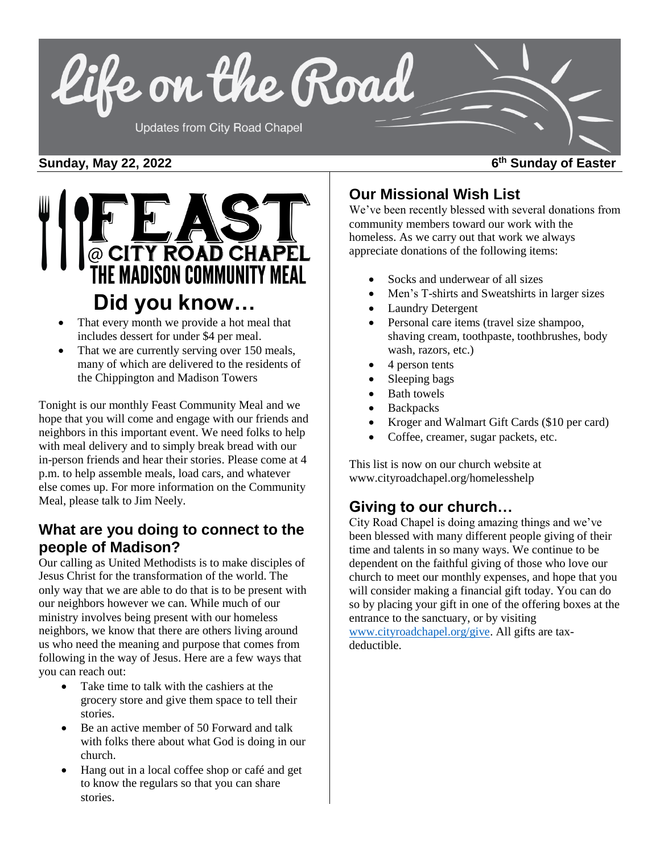

### **Sunday, May 22, 2022 6**



- That every month we provide a hot meal that includes dessert for under \$4 per meal.
- That we are currently serving over 150 meals, many of which are delivered to the residents of the Chippington and Madison Towers

Tonight is our monthly Feast Community Meal and we hope that you will come and engage with our friends and neighbors in this important event. We need folks to help with meal delivery and to simply break bread with our in-person friends and hear their stories. Please come at 4 p.m. to help assemble meals, load cars, and whatever else comes up. For more information on the Community Meal, please talk to Jim Neely.

## **What are you doing to connect to the people of Madison?**

Our calling as United Methodists is to make disciples of Jesus Christ for the transformation of the world. The only way that we are able to do that is to be present with our neighbors however we can. While much of our ministry involves being present with our homeless neighbors, we know that there are others living around us who need the meaning and purpose that comes from following in the way of Jesus. Here are a few ways that you can reach out:

- Take time to talk with the cashiers at the grocery store and give them space to tell their stories.
- Be an active member of 50 Forward and talk with folks there about what God is doing in our church.
- Hang out in a local coffee shop or café and get to know the regulars so that you can share stories.

# **Our Missional Wish List**

We've been recently blessed with several donations from community members toward our work with the homeless. As we carry out that work we always appreciate donations of the following items:

- Socks and underwear of all sizes
- Men's T-shirts and Sweatshirts in larger sizes
- **Laundry Detergent**
- Personal care items (travel size shampoo, shaving cream, toothpaste, toothbrushes, body wash, razors, etc.)
- 4 person tents
- Sleeping bags
- Bath towels
- **Backpacks**
- Kroger and Walmart Gift Cards (\$10 per card)
- Coffee, creamer, sugar packets, etc.

This list is now on our church website at www.cityroadchapel.org/homelesshelp

## **Giving to our church…**

City Road Chapel is doing amazing things and we've been blessed with many different people giving of their time and talents in so many ways. We continue to be dependent on the faithful giving of those who love our church to meet our monthly expenses, and hope that you will consider making a financial gift today. You can do so by placing your gift in one of the offering boxes at the entrance to the sanctuary, or by visiting [www.cityroadchapel.org/give.](http://www.cityroadchapel.org/give) All gifts are taxdeductible.